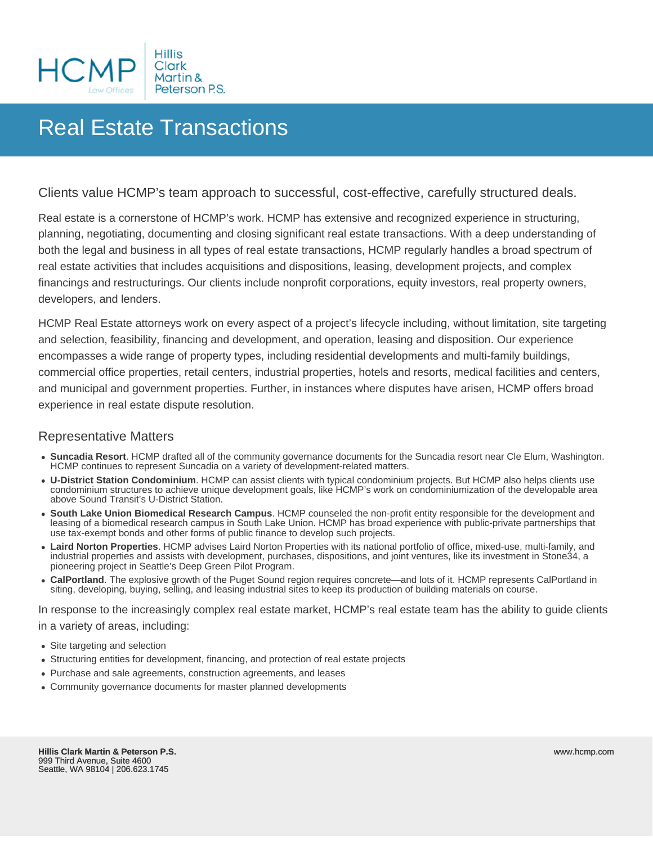

## Real Estate Transactions

Clients value HCMP's team approach to successful, cost-effective, carefully structured deals.

Real estate is a cornerstone of HCMP's work. HCMP has extensive and recognized experience in structuring, planning, negotiating, documenting and closing significant real estate transactions. With a deep understanding of both the legal and business in all types of real estate transactions, HCMP regularly handles a broad spectrum of real estate activities that includes acquisitions and dispositions, leasing, development projects, and complex financings and restructurings. Our clients include nonprofit corporations, equity investors, real property owners, developers, and lenders.

HCMP Real Estate attorneys work on every aspect of a project's lifecycle including, without limitation, site targeting and selection, feasibility, financing and development, and operation, leasing and disposition. Our experience encompasses a wide range of property types, including residential developments and multi-family buildings, commercial office properties, retail centers, industrial properties, hotels and resorts, medical facilities and centers, and municipal and government properties. Further, in instances where disputes have arisen, HCMP offers broad experience in real estate dispute resolution.

## Representative Matters

- **Suncadia Resort**. HCMP drafted all of the community governance documents for the Suncadia resort near Cle Elum, Washington. HCMP continues to represent Suncadia on a variety of development-related matters.
- **U-District Station Condominium**. HCMP can assist clients with typical condominium projects. But HCMP also helps clients use condominium structures to achieve unique development goals, like HCMP's work on condominiumization of the developable area above Sound Transit's U-District Station.
- **South Lake Union Biomedical Research Campus**. HCMP counseled the non-profit entity responsible for the development and leasing of a biomedical research campus in South Lake Union. HCMP has broad experience with public-private partnerships that use tax-exempt bonds and other forms of public finance to develop such projects.
- **Laird Norton Properties**. HCMP advises Laird Norton Properties with its national portfolio of office, mixed-use, multi-family, and industrial properties and assists with development, purchases, dispositions, and joint ventures, like its investment in Stone34, a pioneering project in Seattle's Deep Green Pilot Program.
- **CalPortland**. The explosive growth of the Puget Sound region requires concrete—and lots of it. HCMP represents CalPortland in siting, developing, buying, selling, and leasing industrial sites to keep its production of building materials on course.

In response to the increasingly complex real estate market, HCMP's real estate team has the ability to guide clients in a variety of areas, including:

- Site targeting and selection
- Structuring entities for development, financing, and protection of real estate projects
- Purchase and sale agreements, construction agreements, and leases
- Community governance documents for master planned developments